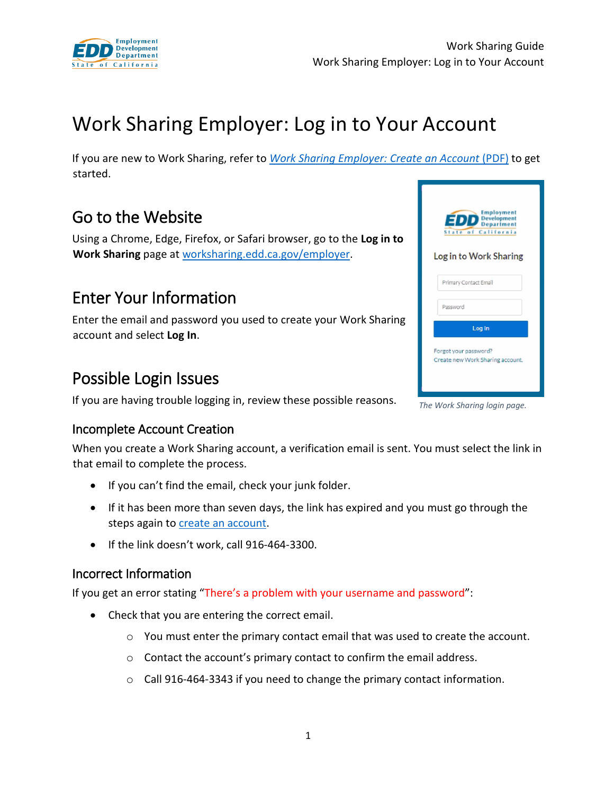

# Work Sharing Employer: Log in to Your Account

If you are new to Work Sharing, refer to *[Work Sharing Employer: Create an Account](https://www.edd.ca.gov/unemployment/pdf/Guide-1_Work-Sharing-Employer_Create-an-Account.pdf)* (PDF) to get started.

### Go to the Website

Using a Chrome, Edge, Firefox, or Safari browser, go to the **Log in to Work Sharing** page at [worksharing.edd.ca.gov/employer.](https://worksharing.edd.ca.gov/employer)

## Enter Your Information

Enter the email and password you used to create your Work Sharing account and select **Log In**.

### Possible Login Issues

If you are having trouble logging in, review these possible reasons.



When you create a Work Sharing account, a verification email is sent. You must select the link in that email to complete the process.

- If you can't find the email, check your junk folder.
- If it has been more than seven days, the link has expired and you must go through the steps again to **create an account**.
- If the link doesn't work, call 916-464-3300.

#### Incorrect Information

If you get an error stating "There's a problem with your username and password":

- Check that you are entering the correct email.
	- $\circ$  You must enter the primary contact email that was used to create the account.
	- o Contact the account's primary contact to confirm the email address.
	- $\circ$  Call 916-464-3343 if you need to change the primary contact information.

| <b>Employment</b><br><b>EDD</b> Development<br>California<br>0 <sup>1</sup><br><b>State</b><br>Log in to Work Sharing |
|-----------------------------------------------------------------------------------------------------------------------|
| Primary Contact Email                                                                                                 |
| Password                                                                                                              |
| Log In                                                                                                                |
| Forgot your password?<br>Create new Work Sharing account.                                                             |

*The Work Sharing login page.*